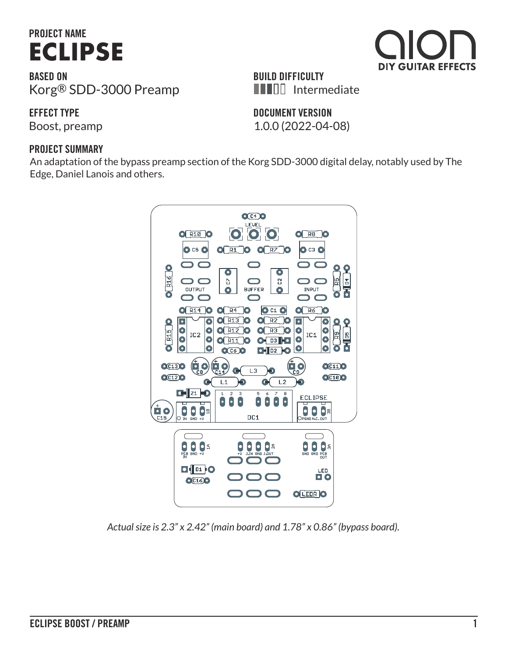# **PROJECT NAME [ECLIPSE](https://aionfx.com/project/eclipse-boost-preamp/)**

**BASED ON** Korg® SDD-3000 Preamp

**EFFECT TYPE**

Boost, preamp 1.0.0 (2022-04-08)

#### **PROJECT SUMMARY**

An adaptation of the bypass preamp section of the Korg SDD-3000 digital delay, notably used by The Edge, Daniel Lanois and others.



*Actual size is 2.3" x 2.42" (main board) and 1.78" x 0.86" (bypass board).*



**DOCUMENT VERSION**

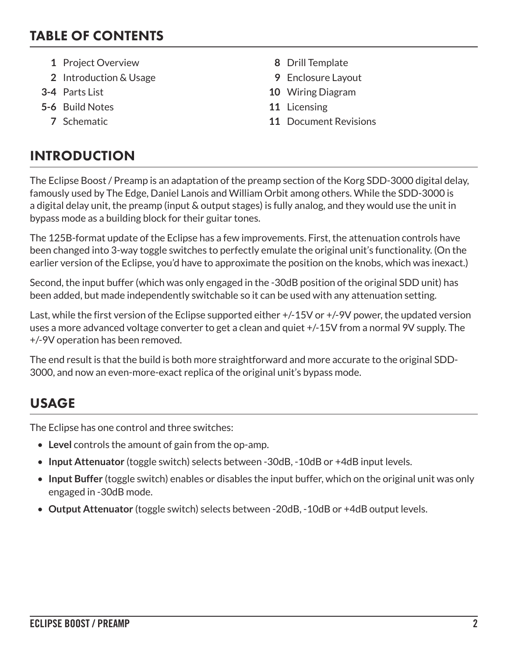## TABLE OF CONTENTS

- **1** Project Overview **8** Drill Template
- **2** Introduction & Usage **9** Enclosure Layout
- 
- **5-6** Build Notes **11** Licensing
	-
- 
- 
- **3-4** Parts List **10** Wiring Diagram
	-
	- **7** Schematic **11** Document Revisions

# INTRODUCTION

The Eclipse Boost / Preamp is an adaptation of the preamp section of the Korg SDD-3000 digital delay, famously used by The Edge, Daniel Lanois and William Orbit among others. While the SDD-3000 is a digital delay unit, the preamp (input & output stages) is fully analog, and they would use the unit in bypass mode as a building block for their guitar tones.

The 125B-format update of the Eclipse has a few improvements. First, the attenuation controls have been changed into 3-way toggle switches to perfectly emulate the original unit's functionality. (On the earlier version of the Eclipse, you'd have to approximate the position on the knobs, which was inexact.)

Second, the input buffer (which was only engaged in the -30dB position of the original SDD unit) has been added, but made independently switchable so it can be used with any attenuation setting.

Last, while the first version of the Eclipse supported either +/-15V or +/-9V power, the updated version uses a more advanced voltage converter to get a clean and quiet +/-15V from a normal 9V supply. The +/-9V operation has been removed.

The end result is that the build is both more straightforward and more accurate to the original SDD-3000, and now an even-more-exact replica of the original unit's bypass mode.

# USAGE

The Eclipse has one control and three switches:

- **Level** controls the amount of gain from the op-amp.
- **Input Attenuator** (toggle switch) selects between -30dB, -10dB or +4dB input levels.
- **Input Buffer** (toggle switch) enables or disables the input buffer, which on the original unit was only engaged in -30dB mode.
- **Output Attenuator** (toggle switch) selects between -20dB, -10dB or +4dB output levels.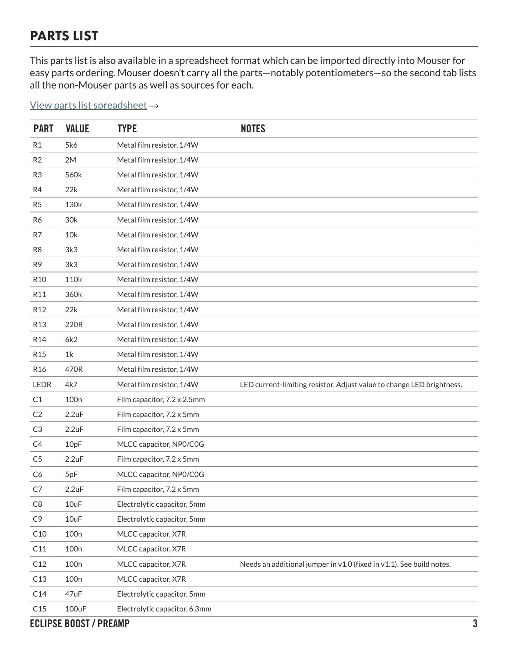# PARTS LIST

This parts list is also available in a spreadsheet format which can be imported directly into Mouser for easy parts ordering. Mouser doesn't carry all the parts—notably potentiometers—so the second tab lists all the non-Mouser parts as well as sources for each.

[View parts list spreadsheet](https://docs.google.com/spreadsheets/d/1jLq1EkZVbSxdKZpYkYU8bl7UAnlM885krkHVWss5Ddg/edit?usp=sharing) →

| <b>PART</b>     | <b>VALUE</b>     | <b>TYPE</b>                   | <b>NOTES</b>                                                          |
|-----------------|------------------|-------------------------------|-----------------------------------------------------------------------|
| R1              | 5k6              | Metal film resistor, 1/4W     |                                                                       |
| R2              | 2M               | Metal film resistor, 1/4W     |                                                                       |
| R <sub>3</sub>  | 560k             | Metal film resistor, 1/4W     |                                                                       |
| R4              | 22k              | Metal film resistor, 1/4W     |                                                                       |
| R <sub>5</sub>  | 130k             | Metal film resistor, 1/4W     |                                                                       |
| R6              | 30k              | Metal film resistor, 1/4W     |                                                                       |
| R7              | 10k              | Metal film resistor, 1/4W     |                                                                       |
| R <sub>8</sub>  | 3k3              | Metal film resistor, 1/4W     |                                                                       |
| R <sub>9</sub>  | 3k3              | Metal film resistor, 1/4W     |                                                                       |
| R <sub>10</sub> | 110k             | Metal film resistor, 1/4W     |                                                                       |
| R11             | 360k             | Metal film resistor, 1/4W     |                                                                       |
| R <sub>12</sub> | 22k              | Metal film resistor, 1/4W     |                                                                       |
| R <sub>13</sub> | 220R             | Metal film resistor, 1/4W     |                                                                       |
| R <sub>14</sub> | 6k2              | Metal film resistor, 1/4W     |                                                                       |
| R <sub>15</sub> | 1 <sup>k</sup>   | Metal film resistor, 1/4W     |                                                                       |
| R <sub>16</sub> | 470R             | Metal film resistor, 1/4W     |                                                                       |
| LEDR            | 4k7              | Metal film resistor, 1/4W     | LED current-limiting resistor. Adjust value to change LED brightness. |
| C1              | 100 <sub>n</sub> | Film capacitor, 7.2 x 2.5mm   |                                                                       |
| C <sub>2</sub>  | 2.2uF            | Film capacitor, 7.2 x 5mm     |                                                                       |
| C3              | 2.2uF            | Film capacitor, 7.2 x 5mm     |                                                                       |
| C4              | 10pF             | MLCC capacitor, NP0/C0G       |                                                                       |
| C <sub>5</sub>  | 2.2uF            | Film capacitor, 7.2 x 5mm     |                                                                       |
| C6              | 5pF              | MLCC capacitor, NP0/C0G       |                                                                       |
| C7              | 2.2uF            | Film capacitor, 7.2 x 5mm     |                                                                       |
| C8              | 10uF             | Electrolytic capacitor, 5mm   |                                                                       |
| C <sub>9</sub>  | 10uF             | Electrolytic capacitor, 5mm   |                                                                       |
| C10             | 100n             | MLCC capacitor, X7R           |                                                                       |
| C11             | 100 <sub>n</sub> | MLCC capacitor, X7R           |                                                                       |
| C12             | 100 <sub>n</sub> | MLCC capacitor, X7R           | Needs an additional jumper in v1.0 (fixed in v1.1). See build notes.  |
| C13             | 100 <sub>n</sub> | MLCC capacitor, X7R           |                                                                       |
| C14             | 47uF             | Electrolytic capacitor, 5mm   |                                                                       |
| C15             | 100uF            | Electrolytic capacitor, 6.3mm |                                                                       |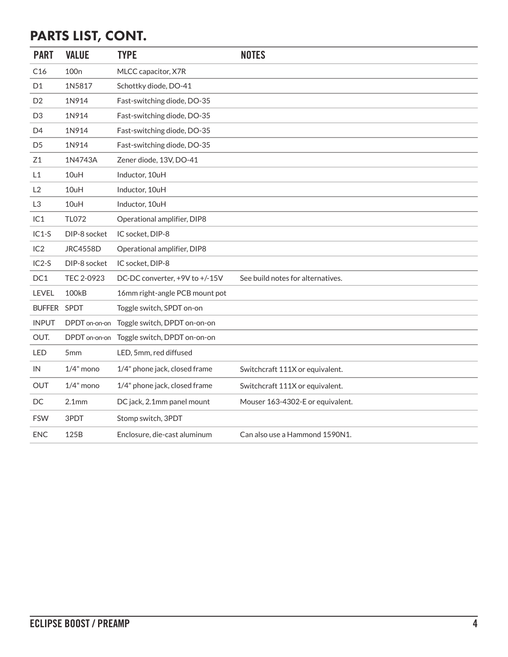# PARTS LIST, CONT.

| <b>PART</b>    | <b>VALUE</b>      | <b>TYPE</b>                    | <b>NOTES</b>                      |
|----------------|-------------------|--------------------------------|-----------------------------------|
| C16            | 100 <sub>n</sub>  | MLCC capacitor, X7R            |                                   |
| D1             | 1N5817            | Schottky diode, DO-41          |                                   |
| D <sub>2</sub> | 1N914             | Fast-switching diode, DO-35    |                                   |
| D <sub>3</sub> | 1N914             | Fast-switching diode, DO-35    |                                   |
| D <sub>4</sub> | 1N914             | Fast-switching diode, DO-35    |                                   |
| D <sub>5</sub> | 1N914             | Fast-switching diode, DO-35    |                                   |
| Z1             | 1N4743A           | Zener diode, 13V, DO-41        |                                   |
| L1             | 10uH              | Inductor, 10uH                 |                                   |
| L2             | 10uH              | Inductor, 10uH                 |                                   |
| L3             | 10uH              | Inductor, 10uH                 |                                   |
| IC1            | <b>TL072</b>      | Operational amplifier, DIP8    |                                   |
| $IC1-S$        | DIP-8 socket      | IC socket, DIP-8               |                                   |
| IC2            | <b>JRC4558D</b>   | Operational amplifier, DIP8    |                                   |
| $IC2-S$        | DIP-8 socket      | IC socket, DIP-8               |                                   |
| DC1            | TEC 2-0923        | DC-DC converter, +9V to +/-15V | See build notes for alternatives. |
| LEVEL          | <b>100kB</b>      | 16mm right-angle PCB mount pot |                                   |
| BUFFER SPDT    |                   | Toggle switch, SPDT on-on      |                                   |
| <b>INPUT</b>   | DPDT on-on-on     | Toggle switch, DPDT on-on-on   |                                   |
| OUT.           | DPDT on-on-on     | Toggle switch, DPDT on-on-on   |                                   |
| <b>LED</b>     | 5 <sub>mm</sub>   | LED, 5mm, red diffused         |                                   |
| IN             | $1/4"$ mono       | 1/4" phone jack, closed frame  | Switchcraft 111X or equivalent.   |
| OUT            | $1/4$ " mono      | 1/4" phone jack, closed frame  | Switchcraft 111X or equivalent.   |
| DC             | 2.1 <sub>mm</sub> | DC jack, 2.1mm panel mount     | Mouser 163-4302-E or equivalent.  |
| <b>FSW</b>     | 3PDT              | Stomp switch, 3PDT             |                                   |
| <b>ENC</b>     | 125B              | Enclosure, die-cast aluminum   | Can also use a Hammond 1590N1.    |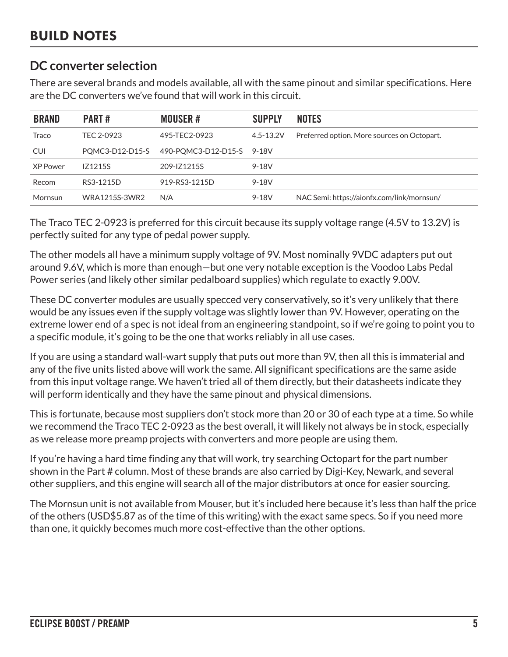#### **DC converter selection**

There are several brands and models available, all with the same pinout and similar specifications. Here are the DC converters we've found that will work in this circuit.

| <b>BRAND</b> | <b>PART#</b>    | <b>MOUSER#</b>            | <b>SUPPLY</b> | <b>NOTES</b>                                |
|--------------|-----------------|---------------------------|---------------|---------------------------------------------|
| Traco        | TEC 2-0923      | 495-TEC2-0923             | $4.5 - 13.2V$ | Preferred option. More sources on Octopart. |
| CUI          | PQMC3-D12-D15-S | 490-PQMC3-D12-D15-S 9-18V |               |                                             |
| XP Power     | <b>IZ1215S</b>  | 209-IZ1215S               | 9-18V         |                                             |
| Recom        | RS3-1215D       | 919-RS3-1215D             | 9-18V         |                                             |
| Mornsun      | WRA1215S-3WR2   | N/A                       | 9-18V         | NAC Semi: https://aionfx.com/link/mornsun/  |

The Traco TEC 2-0923 is preferred for this circuit because its supply voltage range (4.5V to 13.2V) is perfectly suited for any type of pedal power supply.

The other models all have a minimum supply voltage of 9V. Most nominally 9VDC adapters put out around 9.6V, which is more than enough—but one very notable exception is the Voodoo Labs Pedal Power series (and likely other similar pedalboard supplies) which regulate to exactly 9.00V.

These DC converter modules are usually specced very conservatively, so it's very unlikely that there would be any issues even if the supply voltage was slightly lower than 9V. However, operating on the extreme lower end of a spec is not ideal from an engineering standpoint, so if we're going to point you to a specific module, it's going to be the one that works reliably in all use cases.

If you are using a standard wall-wart supply that puts out more than 9V, then all this is immaterial and any of the five units listed above will work the same. All significant specifications are the same aside from this input voltage range. We haven't tried all of them directly, but their datasheets indicate they will perform identically and they have the same pinout and physical dimensions.

This is fortunate, because most suppliers don't stock more than 20 or 30 of each type at a time. So while we recommend the Traco TEC 2-0923 as the best overall, it will likely not always be in stock, especially as we release more preamp projects with converters and more people are using them.

If you're having a hard time finding any that will work, try searching [Octopart](https://octopart.com) for the part number shown in the Part # column. Most of these brands are also carried by Digi-Key, Newark, and several other suppliers, and this engine will search all of the major distributors at once for easier sourcing.

The Mornsun unit is not available from Mouser, but it's included here because it's less than half the price of the others (USD\$5.87 as of the time of this writing) with the exact same specs. So if you need more than one, it quickly becomes much more cost-effective than the other options.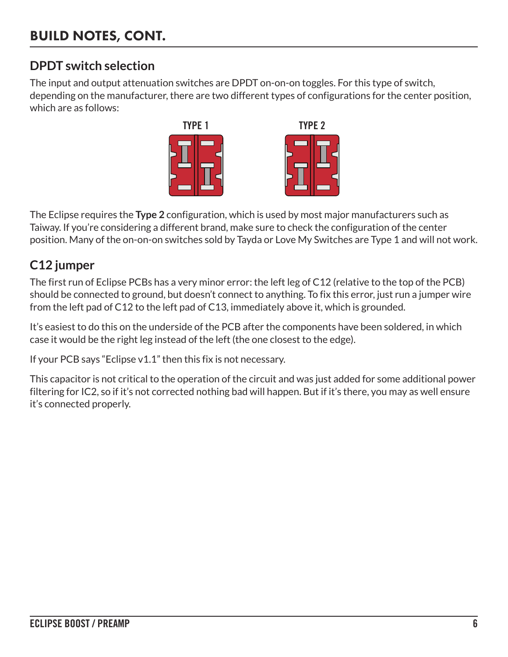### **DPDT switch selection**

The input and output attenuation switches are DPDT on-on-on toggles. For this type of switch, depending on the manufacturer, there are two different types of configurations for the center position, which are as follows:



The Eclipse requires the **Type 2** configuration, which is used by most major manufacturers such as Taiway. If you're considering a different brand, make sure to check the configuration of the center position. Many of the on-on-on switches sold by Tayda or Love My Switches are Type 1 and will not work.

### **C12 jumper**

The first run of Eclipse PCBs has a very minor error: the left leg of C12 (relative to the top of the PCB) should be connected to ground, but doesn't connect to anything. To fix this error, just run a jumper wire from the left pad of C12 to the left pad of C13, immediately above it, which is grounded.

It's easiest to do this on the underside of the PCB after the components have been soldered, in which case it would be the right leg instead of the left (the one closest to the edge).

If your PCB says "Eclipse v1.1" then this fix is not necessary.

This capacitor is not critical to the operation of the circuit and was just added for some additional power filtering for IC2, so if it's not corrected nothing bad will happen. But if it's there, you may as well ensure it's connected properly.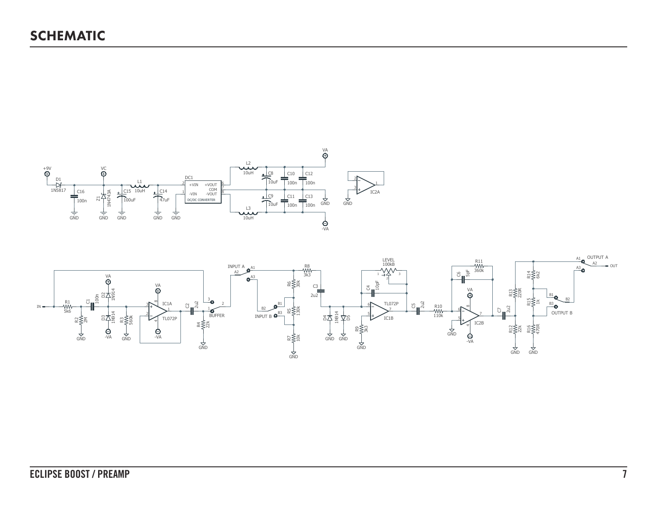

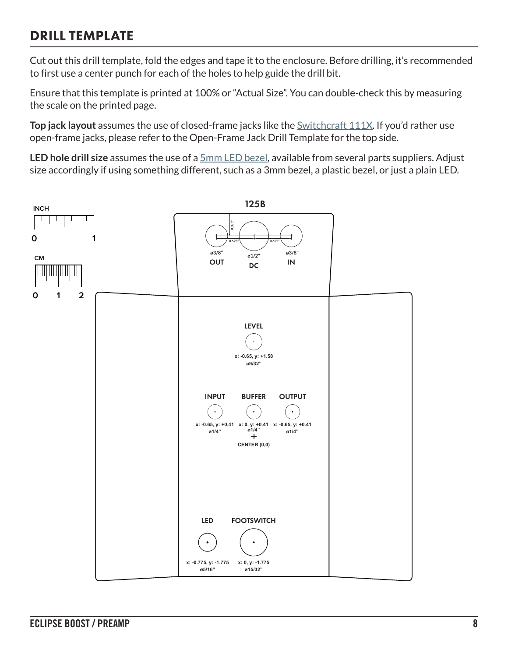# DRILL TEMPLATE

Cut out this drill template, fold the edges and tape it to the enclosure. Before drilling, it's recommended to first use a center punch for each of the holes to help guide the drill bit.

Ensure that this template is printed at 100% or "Actual Size". You can double-check this by measuring the scale on the printed page.

**Top jack layout** assumes the use of closed-frame jacks like the **Switchcraft 111X**. If you'd rather use open-frame jacks, please refer to the Open-Frame Jack Drill Template for the top side.

**LED hole drill size** assumes the use of a [5mm LED bezel,](https://aionfx.com/link/chrome-bezel-for-5mm-led/) available from several parts suppliers. Adjust size accordingly if using something different, such as a 3mm bezel, a plastic bezel, or just a plain LED.

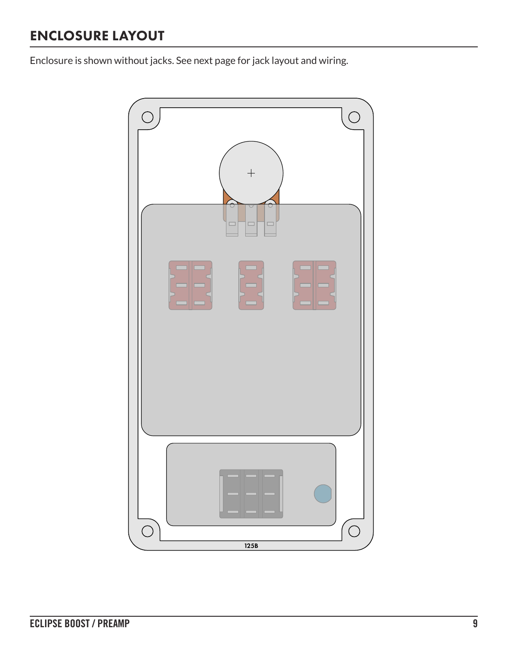# ENCLOSURE LAYOUT

Enclosure is shown without jacks. See next page for jack layout and wiring.

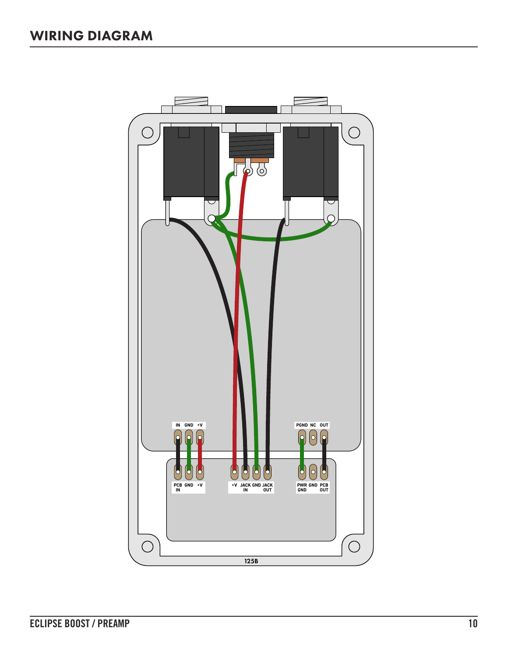